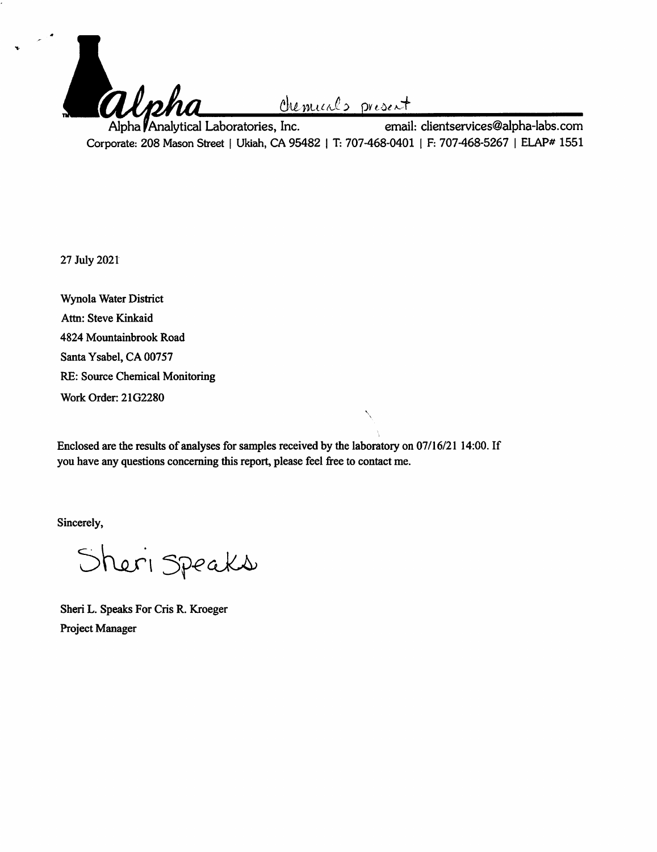

Chemicals present

Corporate: 208 Mason Street | Ukiah, OA 95482 | T: 707-468-0401 | F: 707-468-5267 | ELAP# 1551

27 July 2021

Wynola Water District Attn: Steve Kinkaid 4824 Mountainbrook Road Santa Ysabel, CA 00757 RE: Source Chemical Monitoring Work Order: 21G2280

Enclosed are the results of analyses for samples received by the laboratory on 07/16/21 14:00. If you have any questions concerning this report, please feel free to contact me.

Sincerely,

Sheri Speaks

Sheri L. Speaks For Cris R. Kroeger Project Manager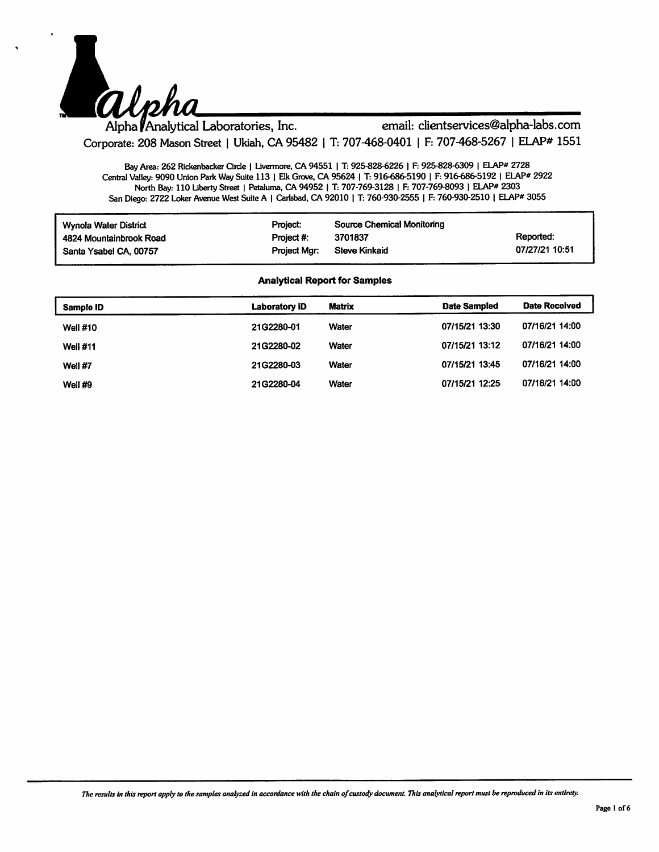

Bay Area: 262 Rickenbacker Circle 1 Lh/ermore, CA 94551 | T: 925-828-6226 | F: 925-828-6309 | ELAP\*' 2728 Bay Area: 262 Rickenbacker Circle | Livermore, CA 94551 | T: 925-828-6226 | F: 925-828-6309 | ELAP# 2728<br>Central Valley: 9090 Union Park Way Suite 113 | Elk Grove, CA 95624 | T: 916-686-5190 | F: 916-686-5192 | ELAP#<br>North Central Valley: 9090 Union Park Way Suite 113 | Elk Grove, CA 95624 | T: 916-686-5190 | F: 916-686-5192 | ELAP# 2922<br>North Bay: 110 Liberty Street | Petaluma, CA 94952 | T: 707-769-3128 | F: 707-769-8093 | ELAP# 2303 San Diego: 2722 Loker Avenue West Suite A | Carlsbad, CA 92010 | T: 760-930-2555 | F: 760-930-2510 | ELAP# 3055

| Wynola Water District   | Project:            | Source Chemical Monitoring |                |
|-------------------------|---------------------|----------------------------|----------------|
| 4824 Mountainbrook Road | Project #:          | 3701837                    | Reported:      |
| Santa Ysabel CA, 00757  | <b>Project Mar:</b> | Steve Kinkaid              | 07/27/21 10:51 |

#### Analytical Report for Samples

| Sample ID       | <b>Laboratory ID</b> | Matrix | <b>Date Sampled</b> | Date Received  |
|-----------------|----------------------|--------|---------------------|----------------|
| <b>Well #10</b> | 21G2280-01           | Water  | 07/15/21 13:30      | 07/16/21 14:00 |
| <b>Well #11</b> | 21G2280-02           | Water  | 07/15/21 13:12      | 07/16/21 14:00 |
| Well #7         | 21G2280-03           | Water  | 07/15/21 13:45      | 07/16/21 14:00 |
| Well #9         | 21G2280-04           | Water  | 07/15/21 12:25      | 07/16/21 14:00 |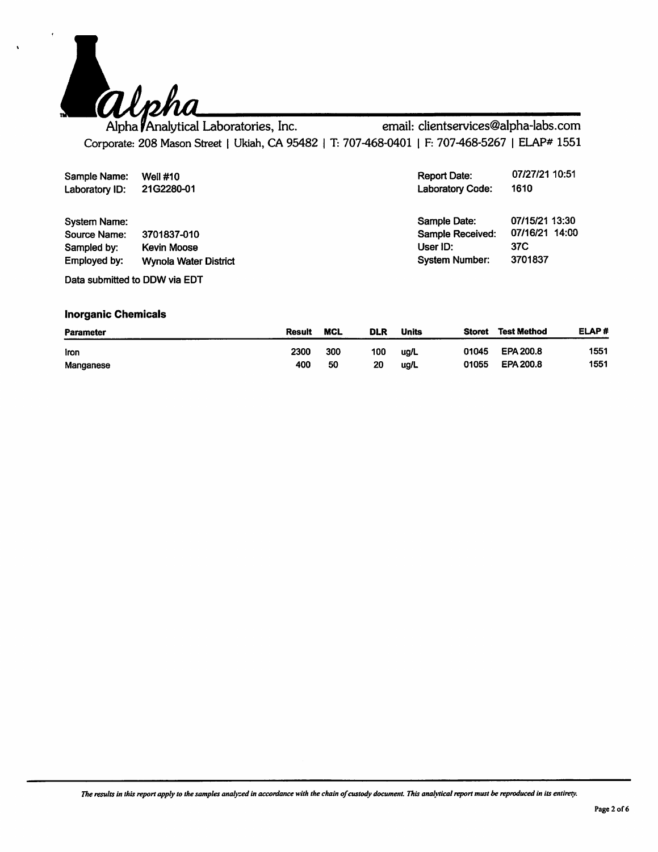

| Sample Name:        | <b>Well #10</b>               | <b>Report Date:</b>     | 07/27/21 10:51 |
|---------------------|-------------------------------|-------------------------|----------------|
| Laboratory ID:      | 21G2280-01                    | <b>Laboratory Code:</b> | 1610           |
| <b>System Name:</b> |                               | Sample Date:            | 07/15/21 13:30 |
| Source Name:        | 3701837-010                   | Sample Received:        | 07/16/21 14:00 |
| Sampled by:         | <b>Kevin Moose</b>            | User ID:                | 37C            |
| Employed by:        | <b>Wynola Water District</b>  | <b>System Number:</b>   | 3701837        |
|                     | Data submitted to DDW via EDT |                         |                |

| <b>Parameter</b> | <b>Result</b> | <b>MCL</b> | DLR | <b>Units</b> | <b>Storet</b> | Test Method | ELAP# |
|------------------|---------------|------------|-----|--------------|---------------|-------------|-------|
| Iron             | 2300          | 300        | 100 | ug/L         | 01045         | EPA 200.8   | 1551  |
| Manganese        | 400           | 50         | 20  | ug/L         | 01055         | EPA 200.8   | 1551  |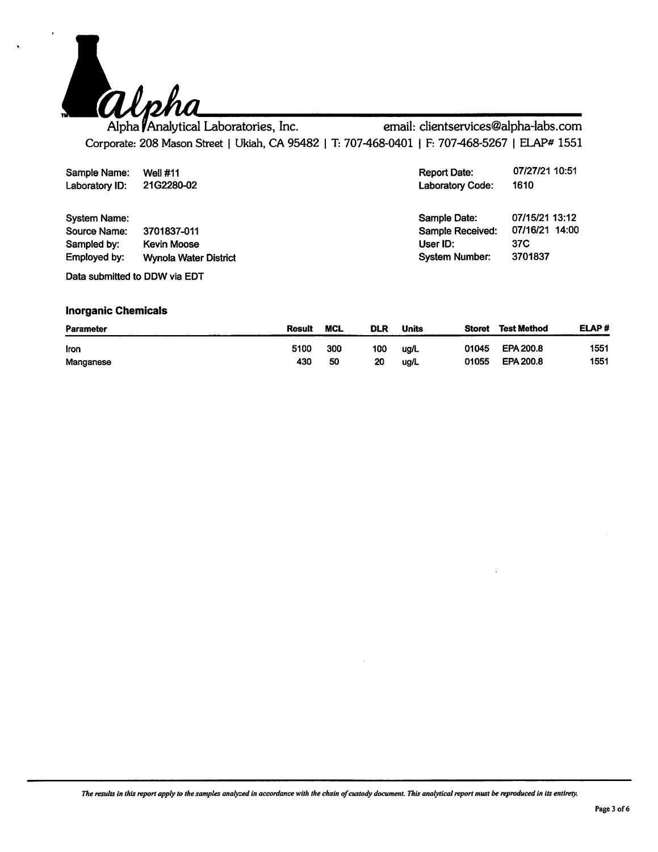

| Sample Name:                  | <b>Well #11</b>              | <b>Report Date:</b>     | 07/27/21 10:51 |
|-------------------------------|------------------------------|-------------------------|----------------|
| Laboratory ID:                | 21G2280-02                   | <b>Laboratory Code:</b> | 1610           |
| <b>System Name:</b>           |                              | Sample Date:            | 07/15/21 13:12 |
| Source Name:                  | 3701837-011                  | Sample Received:        | 07/16/21 14:00 |
| Sampled by:                   | Kevin Moose                  | User ID:                | 37C            |
| Employed by:                  | <b>Wynola Water District</b> | <b>System Number:</b>   | 3701837        |
| Data submitted to DDW via EDT |                              |                         |                |

| Parameter | <b>Result</b> | <b>MCL</b> | DLR | Units | <b>Storet</b> | <b>Test Method</b> | ELAP# |
|-----------|---------------|------------|-----|-------|---------------|--------------------|-------|
| Iron      | 5100          | 300        | 100 | ua/L  | 01045         | EPA 200.8          | 1551  |
| Manganese | 430           | 50         | 20  | ug/L  | 01055         | EPA 200.8          | 1551  |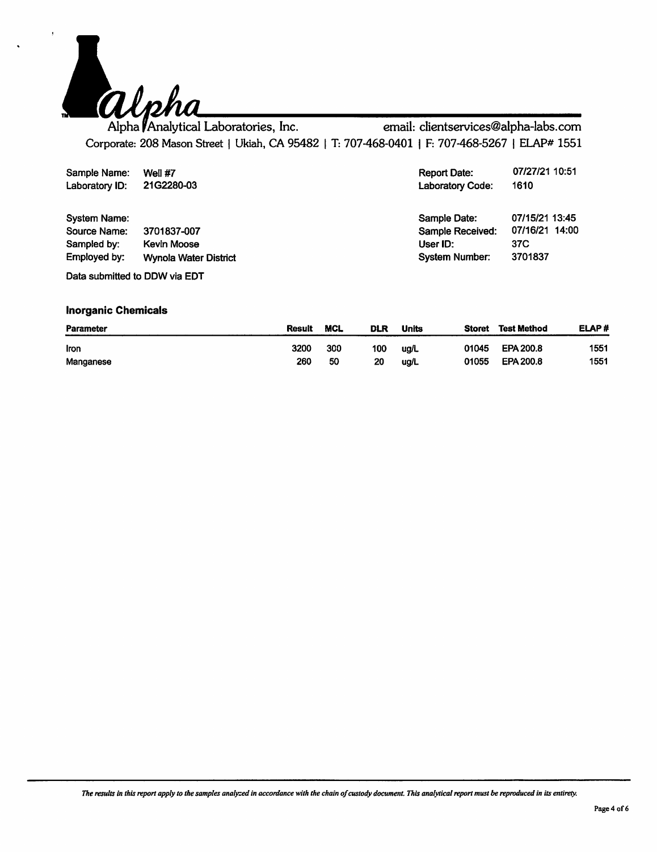

Alpha Analytical Laboratories, Inc. email: clientservices@alpha-labs.com Corporate: 208 Mason Street | Ukiah, CA 95482 | T: 707-468-0401 | F: 707-468-5267 | ELAP# 1551

| Sample Name:                  | Well #7                      | <b>Report Date:</b>     | 07/27/21 10:51 |
|-------------------------------|------------------------------|-------------------------|----------------|
| Laboratory ID:                | 21G2280-03                   | <b>Laboratory Code:</b> | 1610           |
| <b>System Name:</b>           |                              | Sample Date:            | 07/15/21 13:45 |
| Source Name:                  | 3701837-007                  | Sample Received:        | 07/16/21 14:00 |
| Sampled by:                   | <b>Kevin Moose</b>           | User $ID:$              | 37C            |
| Employed by:                  | <b>Wynola Water District</b> | <b>System Number:</b>   | 3701837        |
| Data submitted to DDW via EDT |                              |                         |                |

| <b>Parameter</b> | Result | <b>MCL</b> | DLR | <b>Units</b> | <b>Storet</b> | Test Method | ELAP# |
|------------------|--------|------------|-----|--------------|---------------|-------------|-------|
| Iron             | 3200   | 300        | 100 | ua/L         | 01045         | EPA 200.8   | 1551  |
| Manganese        | 260    | 50         | 20  | ug/L         | 01055         | EPA 200.8   | 1551  |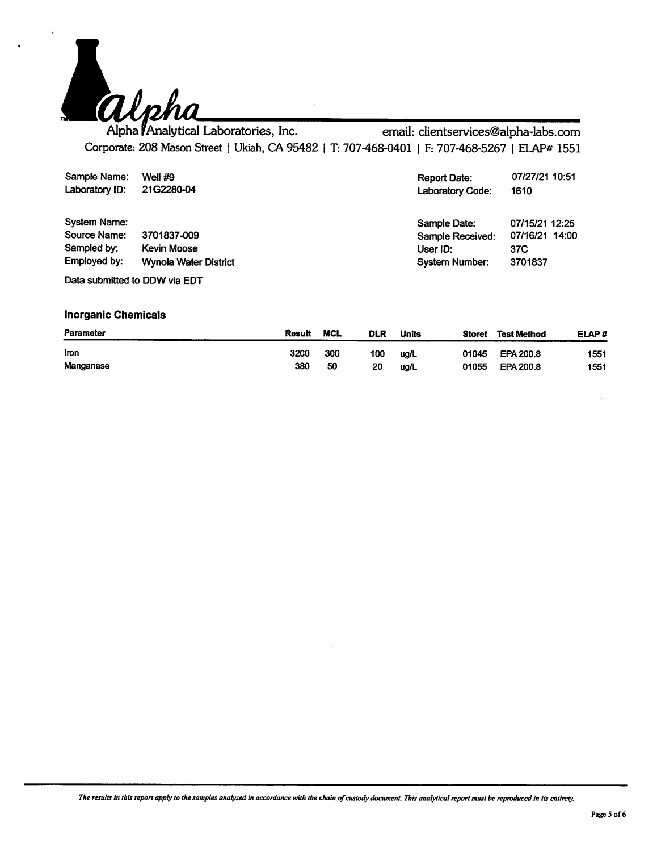

| Sample Name:<br>Laboratory ID:                                     | Well $#9$<br>21G2280-04                                           | <b>Report Date:</b><br><b>Laboratory Code:</b>                        | 07/27/21 10:51<br>1610                             |
|--------------------------------------------------------------------|-------------------------------------------------------------------|-----------------------------------------------------------------------|----------------------------------------------------|
| <b>System Name:</b><br>Source Name:<br>Sampled by:<br>Employed by: | 3701837-009<br><b>Kevin Moose</b><br><b>Wynola Water District</b> | Sample Date:<br>Sample Received:<br>User ID:<br><b>System Number:</b> | 07/15/21 12:25<br>07/16/21 14:00<br>37C<br>3701837 |
| Data submitted to DDW via EDT                                      |                                                                   |                                                                       |                                                    |

| <b>Parameter</b> | <b>Result</b> | <b>MCL</b> | DLR | <b>Units</b> | <b>Storet</b> | Test Method | ELAP# |
|------------------|---------------|------------|-----|--------------|---------------|-------------|-------|
| <b>Iron</b>      | 3200          | 300        | 100 | ug/L         | 01045         | EPA 200.8   | 1551  |
| Manganese        | 380           | 50         | 20  | ug/L         | 01055         | EPA 200.8   | 1551  |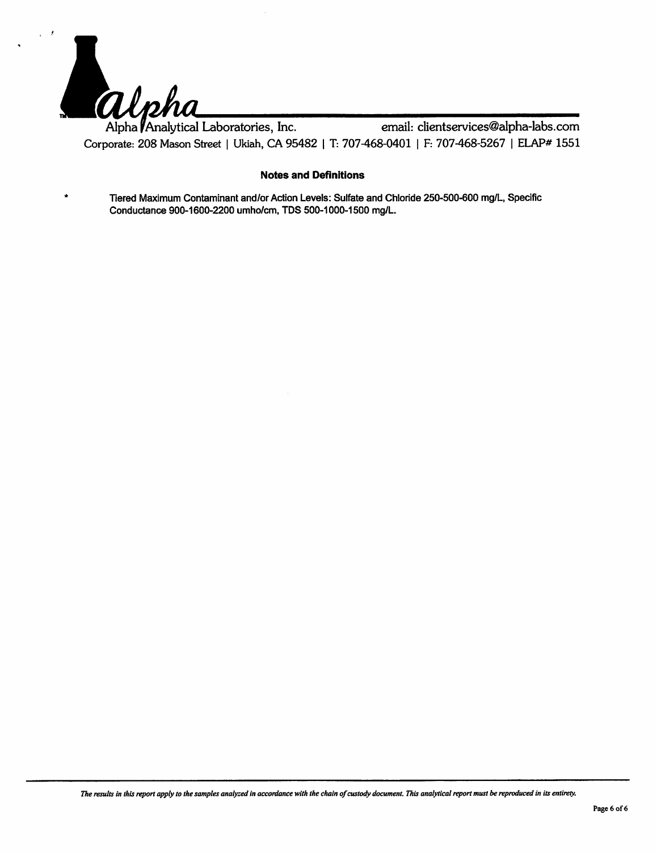

Alpha Analytical Laboratories, Inc. email: clientservices@alpha-labs.com Comporate: 208 Mason Street | Ukiah, CA 95482 | T: 707-468-0401 | F: 707-468-5267 | ELAP# 1551

## Notes and Definitions

Tiered Maximum Contaminant and/or Action Levels: Sulfate and Chloride 250-500-600 mg/L, Specific Conductance 900-1600-2200 umho/cm, TDS 500-1000-1500 mg/L.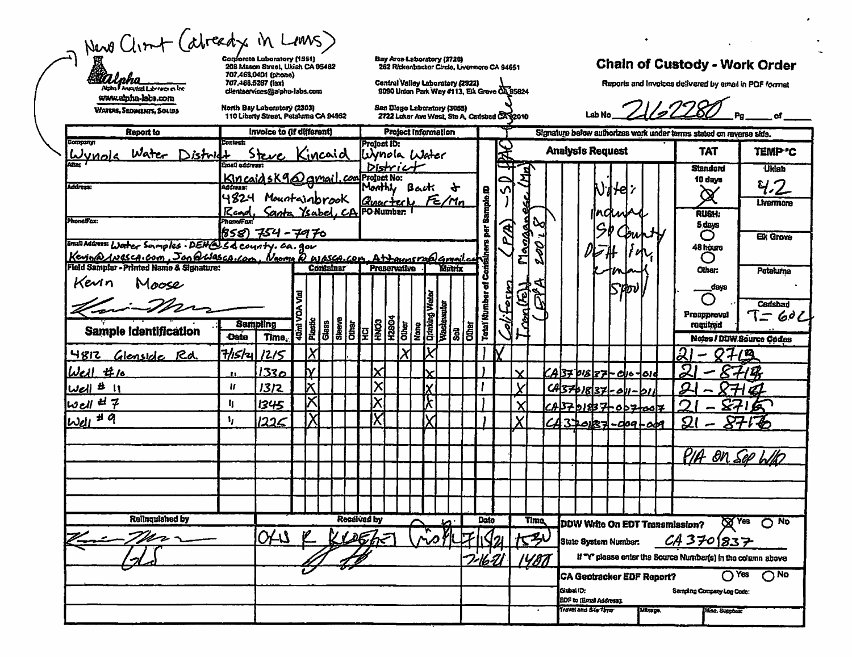| New Climt (already in Laws)                                                                                            |                           |                                                                      |                               |                  |  |  |                             |                                                                                  |                                                   |               |            |                                |             |              |                                               |           |                                                                              |                      |                                                |        |                       |            |                                                              |                                |                                                                     |              |                      |
|------------------------------------------------------------------------------------------------------------------------|---------------------------|----------------------------------------------------------------------|-------------------------------|------------------|--|--|-----------------------------|----------------------------------------------------------------------------------|---------------------------------------------------|---------------|------------|--------------------------------|-------------|--------------|-----------------------------------------------|-----------|------------------------------------------------------------------------------|----------------------|------------------------------------------------|--------|-----------------------|------------|--------------------------------------------------------------|--------------------------------|---------------------------------------------------------------------|--------------|----------------------|
|                                                                                                                        |                           | 208 Mason Street, Ukish CA 95482                                     |                               |                  |  |  |                             | Bay Area Laboratory (2728)                                                       |                                                   |               |            |                                |             |              | 262 Rickenbacker Circle, Livermore CA 94651   |           |                                                                              |                      |                                                |        |                       |            |                                                              |                                | <b>Chain of Custody - Work Order</b>                                |              |                      |
| Alpha Angustral Liberator of Inc.<br>www.amha-labs.com                                                                 |                           | 707,468,0401 (phone)<br>707.468.5287 (fax)                           | clientservices@aipha-labs.com |                  |  |  |                             | Central Valley Laboratory (2922)<br>9090 Union Park Way #113, Elk Grove 04 85824 |                                                   |               |            |                                |             |              |                                               |           | Reports and Invoices delivered by emal in PDF format                         |                      |                                                |        |                       |            |                                                              |                                |                                                                     |              |                      |
| WATERS, SEDMENTS, SOLIDS                                                                                               |                           | North Bay Laboratory (2303)<br>110 Libarty Street, Petaluma CA 94952 |                               |                  |  |  |                             | San Diego Leboratory (3065)                                                      |                                                   |               |            |                                |             |              | 2722 Loker Ave West, Ste A, Carlsbad CA 92010 |           |                                                                              |                      |                                                | Lab No |                       |            |                                                              |                                |                                                                     |              |                      |
| Report to                                                                                                              |                           | Invoice to (if different)                                            |                               |                  |  |  |                             | <b>Project Information</b>                                                       |                                                   |               |            |                                |             |              |                                               |           |                                                                              |                      |                                                |        |                       |            |                                                              |                                | Signature below authorizes work under terms stated on reverse side. |              |                      |
| Company<br>Water District<br>Wynola                                                                                    | Contact:                  | Steve Kincaid                                                        |                               |                  |  |  | Project ID;<br>Wynola Water |                                                                                  |                                                   |               |            |                                |             |              |                                               |           |                                                                              |                      | <b>Analysis Request</b>                        |        |                       |            |                                                              |                                | <b>TAT</b>                                                          |              | TEMP'C               |
|                                                                                                                        | inall address:            |                                                                      |                               |                  |  |  | District                    |                                                                                  |                                                   |               |            |                                |             |              |                                               |           |                                                                              |                      |                                                |        |                       |            |                                                              |                                | Standard                                                            |              | <b>Ukiah</b>         |
| Address:                                                                                                               |                           | Kincaids K960 arrail. confroject No:                                 |                               |                  |  |  | Monthly Bacts               |                                                                                  |                                                   |               |            |                                |             |              | ≘<br>$\mathbf{\Omega}$                        | त्रिष्ठ   |                                                                              |                      |                                                |        | Vitteli               |            |                                                              |                                | 10 days                                                             |              |                      |
|                                                                                                                        |                           | 4824 Mountainbrook                                                   |                               |                  |  |  | Quacterly                   |                                                                                  |                                                   |               |            | F <sub>E</sub> /M <sub>n</sub> |             |              |                                               | <u>مح</u> |                                                                              |                      |                                                |        |                       |            |                                                              |                                | Q                                                                   |              | Livermore            |
| Phoneffax:                                                                                                             | <u>Raad,</u><br>PhonofFox | Santa Ysubel, CA PO Number:                                          |                               |                  |  |  |                             |                                                                                  |                                                   |               |            |                                |             | Sample.CD    |                                               |           | <b>b</b>                                                                     |                      |                                                |        | iinauw                |            |                                                              |                                | <b>RUSH:</b>                                                        |              |                      |
|                                                                                                                        |                           | $8587754 - 7970$                                                     |                               |                  |  |  |                             |                                                                                  |                                                   |               |            |                                |             |              | PA                                            | তিয়ে     |                                                                              |                      |                                                |        |                       | اردهك      |                                                              |                                | 5 days<br>O                                                         |              | <b>EIX Grove</b>     |
| Email Address: Worter Samples. DEH@S& county. Ca. gov                                                                  |                           |                                                                      |                               |                  |  |  |                             |                                                                                  |                                                   |               |            |                                |             |              |                                               | ଶ         | B                                                                            |                      |                                                |        |                       |            |                                                              |                                | 48 hours                                                            |              |                      |
| Kevin@ wasca.com, Jon Quiasca.com, Naoma @ wasca.com, Attaunsma@ amail.co<br>Field Sampler - Printed Name & Signature: |                           |                                                                      |                               | <b>Containar</b> |  |  |                             | <b>Preservative</b>                                                              |                                                   |               |            | Matrix                         |             | nidun<br>1   |                                               | 5         | Μ                                                                            |                      |                                                |        |                       |            |                                                              |                                | Ő<br>Other:                                                         |              | Petaurna             |
| Kevin<br>Moose                                                                                                         |                           |                                                                      |                               |                  |  |  |                             |                                                                                  |                                                   |               |            |                                |             | 8<br>흉       |                                               |           | ⋖                                                                            |                      |                                                |        |                       |            |                                                              |                                |                                                                     |              |                      |
|                                                                                                                        |                           |                                                                      |                               |                  |  |  |                             |                                                                                  |                                                   |               |            |                                |             |              |                                               |           |                                                                              |                      |                                                |        | <b>Suov</b>           |            |                                                              |                                | daya<br>O                                                           |              |                      |
|                                                                                                                        |                           |                                                                      |                               |                  |  |  |                             |                                                                                  |                                                   |               |            |                                |             |              | حانة في المعنى                                | ಜಗ್ಗ      |                                                                              |                      |                                                |        |                       |            |                                                              |                                | Preapproval                                                         |              | Cadsbad<br>$T = 60L$ |
| <b>Sample Identification</b>                                                                                           |                           | <b>Sampling</b>                                                      | 40ini VOA<br>Plastic          |                  |  |  |                             |                                                                                  | $\frac{1}{\frac{1}{10}}\left \frac{1}{10}\right $ | Drinking Wate | Wastewater |                                | <b>Sear</b> | Total Number |                                               |           |                                                                              |                      |                                                |        |                       |            |                                                              |                                | required                                                            |              |                      |
|                                                                                                                        | <b>Date</b>               | Time,                                                                |                               |                  |  |  |                             |                                                                                  |                                                   |               |            | န္တြ                           |             |              |                                               |           |                                                                              |                      |                                                |        |                       |            |                                                              |                                | Notes / DDW.Source Codes                                            |              |                      |
| 4812 Glenside Rd.                                                                                                      | 7/5/4                     | 1215                                                                 | X                             |                  |  |  |                             |                                                                                  |                                                   |               |            |                                |             |              |                                               |           |                                                                              |                      |                                                |        |                       |            |                                                              |                                |                                                                     |              |                      |
| $ $ Well $#$ 10                                                                                                        | $\mathbf{r}$              | 1330                                                                 | lν                            |                  |  |  | X1                          |                                                                                  |                                                   | Υ             |            |                                |             |              |                                               | Y         |                                                                              |                      |                                                |        | CAB7 puslezh cho loid |            |                                                              |                                |                                                                     |              |                      |
| $ U_2 $ $\sharp$ 11                                                                                                    | $\boldsymbol{u}$          | 13/2                                                                 | k                             |                  |  |  |                             |                                                                                  |                                                   | v             |            |                                |             |              |                                               | ν         |                                                                              |                      |                                                |        | $(437618137) - 011 -$ |            |                                                              | J                              |                                                                     |              |                      |
| $\omega$ ell $\overline{t}$ 7                                                                                          | IJ.                       | 1345                                                                 | $\overline{\mathsf{x}}$       |                  |  |  |                             |                                                                                  |                                                   |               |            |                                |             |              |                                               |           |                                                                              |                      |                                                |        |                       |            | $cA$ 37b1837 0b7 007                                         |                                |                                                                     |              |                      |
| せのする しょうしょう せいしゅうしょう せのしゃ<br>Well                                                                                      | ۱,                        | 1225                                                                 |                               |                  |  |  |                             |                                                                                  |                                                   |               |            |                                |             |              |                                               | v         |                                                                              |                      |                                                |        |                       |            | $CA320187 - 009 - 009$                                       | <u>ୁ</u>                       |                                                                     |              |                      |
|                                                                                                                        |                           |                                                                      |                               |                  |  |  |                             |                                                                                  |                                                   |               |            |                                |             |              |                                               |           |                                                                              |                      |                                                |        |                       |            |                                                              |                                |                                                                     |              |                      |
|                                                                                                                        |                           |                                                                      |                               |                  |  |  |                             |                                                                                  |                                                   |               |            |                                |             |              |                                               |           |                                                                              |                      |                                                |        |                       |            |                                                              |                                | PIA On Sep Wh                                                       |              |                      |
|                                                                                                                        |                           |                                                                      |                               |                  |  |  |                             |                                                                                  |                                                   |               |            |                                |             |              |                                               |           |                                                                              |                      |                                                |        |                       |            |                                                              |                                |                                                                     |              |                      |
|                                                                                                                        |                           |                                                                      |                               |                  |  |  |                             |                                                                                  |                                                   |               |            |                                |             |              |                                               |           |                                                                              |                      |                                                |        |                       |            |                                                              |                                |                                                                     |              |                      |
|                                                                                                                        |                           |                                                                      |                               |                  |  |  |                             |                                                                                  |                                                   |               |            |                                |             |              |                                               |           |                                                                              |                      |                                                |        |                       |            |                                                              |                                |                                                                     |              |                      |
| <b>Relinquished by</b>                                                                                                 |                           |                                                                      |                               |                  |  |  | <b>Received by</b>          |                                                                                  |                                                   |               |            | <u>ທ</u>                       |             | Date         |                                               |           | <b>Time</b>                                                                  |                      |                                                |        |                       |            |                                                              | DDW Write On EDT Transmission? |                                                                     | <b>X</b> Yes | $O$ N <sub>D</sub>   |
|                                                                                                                        | $O + 1$<br>LÆhF           |                                                                      |                               |                  |  |  |                             |                                                                                  |                                                   |               |            |                                |             | 巫            |                                               |           |                                                                              | State System Number: |                                                |        |                       | CA 3701837 |                                                              |                                |                                                                     |              |                      |
|                                                                                                                        |                           |                                                                      |                               |                  |  |  |                             |                                                                                  |                                                   |               |            | <u> 7-1621</u>                 |             |              | <u> 1487 </u>                                 |           |                                                                              |                      |                                                |        |                       |            | If "Y" plasse enter the Source Number(s) in the column above |                                |                                                                     |              |                      |
|                                                                                                                        |                           |                                                                      |                               |                  |  |  |                             |                                                                                  |                                                   |               |            |                                |             |              |                                               |           |                                                                              |                      |                                                |        |                       |            |                                                              |                                |                                                                     | $O$ Yes      | $O$ No               |
|                                                                                                                        |                           |                                                                      |                               |                  |  |  |                             |                                                                                  |                                                   |               |            |                                |             |              |                                               |           | <b>CA Geotracker EDF Report?</b><br>Global ID:<br>Sampling Company Log Code: |                      |                                                |        |                       |            |                                                              |                                |                                                                     |              |                      |
|                                                                                                                        |                           |                                                                      |                               |                  |  |  |                             |                                                                                  |                                                   |               |            |                                |             |              |                                               |           |                                                                              |                      | EDF to (Email Address):<br>Traval and Ste Time |        |                       |            |                                                              |                                |                                                                     |              |                      |
|                                                                                                                        |                           |                                                                      |                               |                  |  |  |                             |                                                                                  |                                                   |               |            |                                |             |              |                                               |           |                                                                              |                      |                                                |        |                       |            | Micago.                                                      |                                | Mac. Supphes:                                                       |              |                      |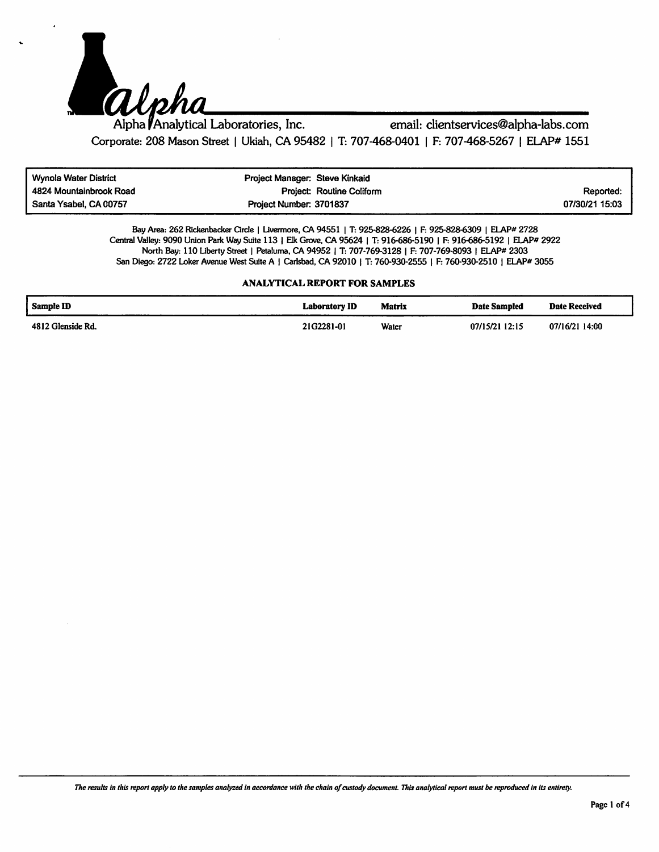

| ┃ Wynola Water District   | Project Manager: Steve Kinkaid   |                |
|---------------------------|----------------------------------|----------------|
| I 4824 Mountainbrook Road | <b>Project: Routine Coliform</b> | Reported:      |
| I Santa Ysabel. CA 00757  | Project Number: 3701837          | 07/30/21 15:03 |

Bay Area; 262 Rickenbacker Cirde | Uvermore, CA 94551 | T: 925-828-6226 | F: 925-828-6309 | ELAP# 2728 Bay Area: 262 Rickenbacker Circle | Livermore, CA 94551 | T: 925-828-6226 | F: 925-828-6309 | ELAP# 2728<br>Central Valley: 9090 Union Park Way Suite 113 | Elk Grove, CA 95624 | T: 916-686-5190 | F: 916-686-5192 | ELAP#<br>North y Area: 262 Rickenbacker Circle | Livermore, CA 94551 | T: 925-828-6226 | F: 925-828-6309 | ELAP# 27<br>'alley: 9090 Union Park Way Suite 113 | Elk Grove, CA 95624 | T: 916-686-5190 | F: 916-686-5192 | ELA<br>North Bay: 110 Libe San Diego; 2722 Loker Avenue West Suite A | Carlsbad, CA 92010 | T; 760-930-2555 1 F; 760-930-2510 | ELAP# 3055

### ANALYTICAL REPORT FOR SAMPLES

| Sample ID         | <b>Laboratory ID</b> | Matrix | Date Sampled   | Date Received  |
|-------------------|----------------------|--------|----------------|----------------|
| 4812 Glenside Rd. | 21G2281-01           | Water  | 07/15/21 12:15 | 07/16/21 14:00 |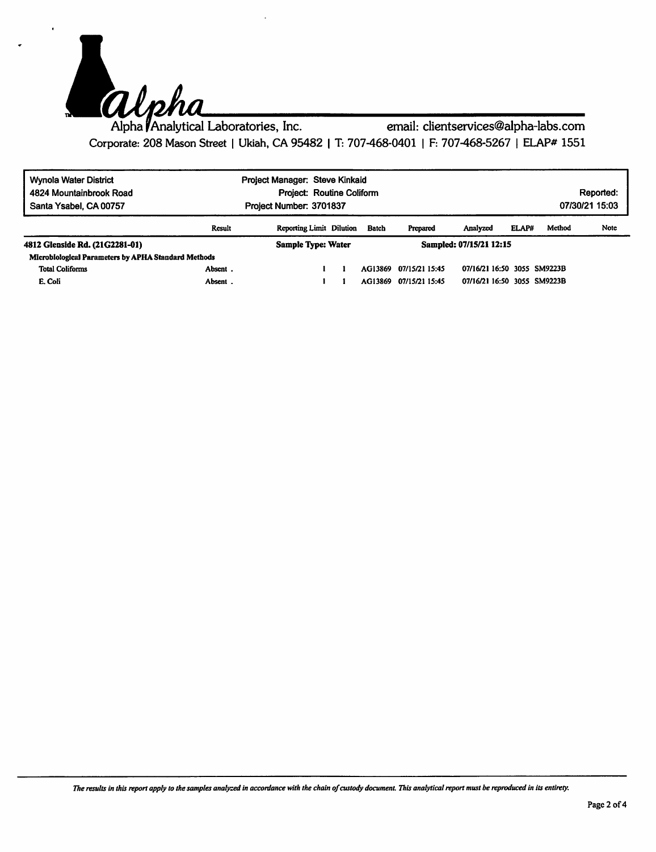

| <b>Wynola Water District</b><br>4824 Mountainbrook Road<br>Santa Ysabel, CA 00757 |         | Project Manager: Steve Kinkaid<br><b>Project: Routine Coliform</b><br>Project Number: 3701837 |              |                |                             |       |        | Reported:<br>07/30/21 15:03 |
|-----------------------------------------------------------------------------------|---------|-----------------------------------------------------------------------------------------------|--------------|----------------|-----------------------------|-------|--------|-----------------------------|
|                                                                                   | Result  | Reporting Limit Dilution                                                                      | <b>Batch</b> | Prepared       | Analyzed                    | ELAP# | Method | Note                        |
| 4812 Glenside Rd. (21G2281-01)                                                    |         | <b>Sample Type: Water</b>                                                                     |              |                | Sampled: 07/15/21 12:15     |       |        |                             |
| Microbiological Parameters by APHA Standard Methods                               |         |                                                                                               |              |                |                             |       |        |                             |
| <b>Total Coliforms</b>                                                            | Absent. |                                                                                               | AG13869      | 07/15/21 15:45 | 07/16/21 16:50 3055 SM9223B |       |        |                             |
| E. Coli                                                                           | Absent. |                                                                                               | AG13869      | 07/15/21 15:45 | 07/16/21 16:50 3055 SM9223B |       |        |                             |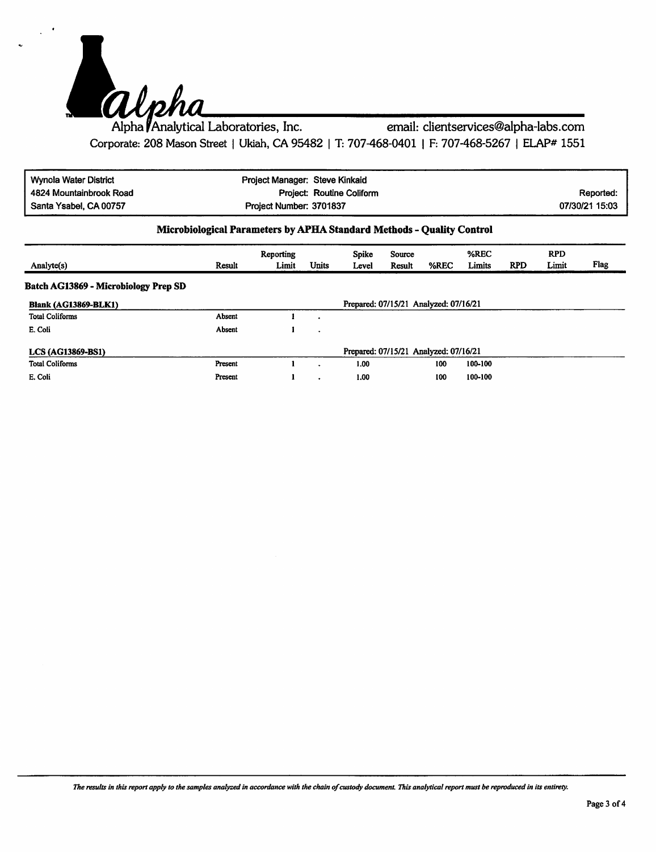

| <b>Wynola Water District</b><br>4824 Mountainbrook Road<br>Santa Ysabel, CA 00757 |                                                                              | Project Manager: Steve Kinkaid<br>Project Number: 3701837 |              | Project: Routine Coliform |                                       |      |                |            |                     | Reported:<br>07/30/21 15:03 |
|-----------------------------------------------------------------------------------|------------------------------------------------------------------------------|-----------------------------------------------------------|--------------|---------------------------|---------------------------------------|------|----------------|------------|---------------------|-----------------------------|
|                                                                                   | <b>Microbiological Parameters by APHA Standard Methods - Quality Control</b> |                                                           |              |                           |                                       |      |                |            |                     |                             |
| Analyte(s)                                                                        | Result                                                                       | Reporting<br>Limit                                        | <b>Units</b> | Spike<br>Level            | Source<br>Result                      | %REC | %REC<br>Limits | <b>RPD</b> | <b>RPD</b><br>Limit | Flag                        |
| Batch AG13869 - Microbiology Prep SD                                              |                                                                              |                                                           |              |                           |                                       |      |                |            |                     |                             |
| <b>Blank (AG13869-BLK1)</b>                                                       |                                                                              |                                                           |              |                           | Prepared: 07/15/21 Analyzed: 07/16/21 |      |                |            |                     |                             |
| <b>Total Coliforms</b>                                                            | Absent                                                                       |                                                           |              |                           |                                       |      |                |            |                     |                             |
| E. Coli                                                                           | Absent                                                                       |                                                           |              |                           |                                       |      |                |            |                     |                             |
| <b>LCS (AG13869-BS1)</b>                                                          |                                                                              |                                                           |              |                           | Prepared: 07/15/21 Analyzed: 07/16/21 |      |                |            |                     |                             |
| <b>Total Coliforms</b>                                                            | Present                                                                      |                                                           |              | 1.00                      |                                       | 100  | 100-100        |            |                     |                             |
| E. Coli                                                                           | Present                                                                      |                                                           |              | 1.00                      |                                       | 100  | 100-100        |            |                     |                             |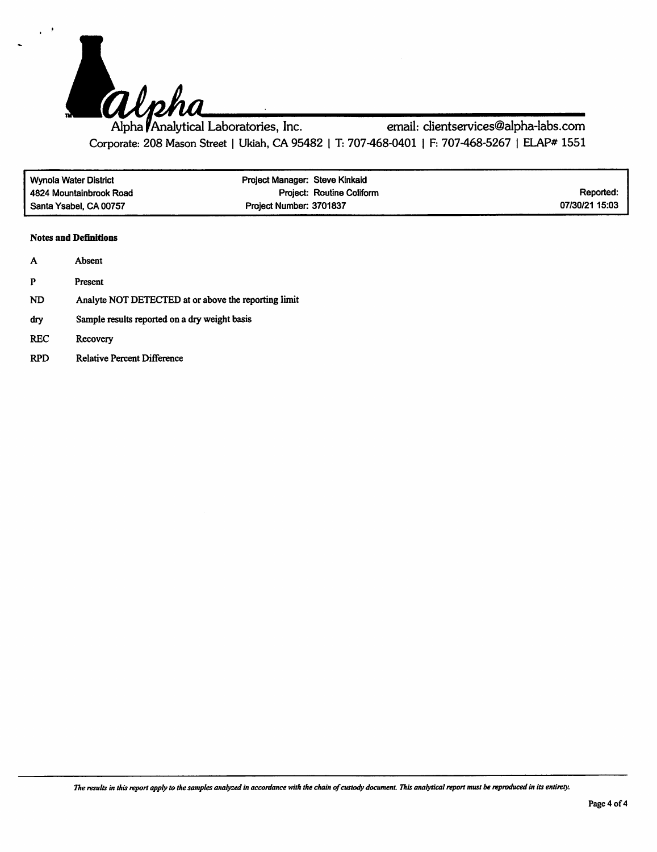

| Wynola Water District   | Project Manager: Steve Kinkaid |                |
|-------------------------|--------------------------------|----------------|
| 4824 Mountainbrook Road | Project: Routine Coliform      | Reported:      |
| Santa Ysabel, CA 00757  | Project Number: 3701837        | 07/30/21 15:03 |

### Notes and Definitions

| A          | Absent                                               |
|------------|------------------------------------------------------|
| P          | Present                                              |
| ND         | Analyte NOT DETECTED at or above the reporting limit |
| dry        | Sample results reported on a dry weight basis        |
| <b>REC</b> | Recovery                                             |
| <b>RPD</b> | <b>Relative Percent Difference</b>                   |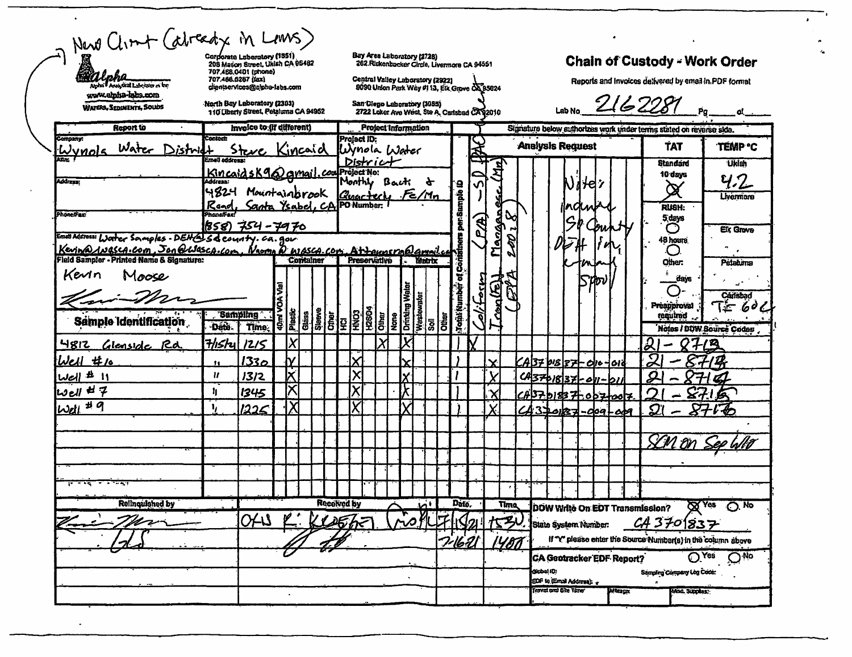| New Climb Cabreau in Lewis                                                                                                                                                       |                           |                                                                                                      |         |                  |  |                            |                     |                         |                                                                                  |           |      |                  |                |                 |            |                   |                         |                                                                  |          |              |    |                                  |                                |                                                         |                                              |                                                                     |                                                      |
|----------------------------------------------------------------------------------------------------------------------------------------------------------------------------------|---------------------------|------------------------------------------------------------------------------------------------------|---------|------------------|--|----------------------------|---------------------|-------------------------|----------------------------------------------------------------------------------|-----------|------|------------------|----------------|-----------------|------------|-------------------|-------------------------|------------------------------------------------------------------|----------|--------------|----|----------------------------------|--------------------------------|---------------------------------------------------------|----------------------------------------------|---------------------------------------------------------------------|------------------------------------------------------|
|                                                                                                                                                                                  |                           |                                                                                                      |         |                  |  |                            |                     |                         | Bay Area Laboratory (2728)<br>262.Rickenbacker Circle, Livermore CA 94551        |           |      |                  |                |                 |            |                   |                         |                                                                  |          |              |    |                                  |                                |                                                         |                                              | <b>Chain of Custody - Work Order</b>                                |                                                      |
| Alphu's Analytical Laborator of the                                                                                                                                              |                           | clientservices@alpha-labs.com                                                                        |         |                  |  |                            |                     |                         | Central Valley Laboratory (2922)<br>9090 Union Park Way #113, Elk Grove CA 95624 |           |      |                  |                |                 |            |                   |                         |                                                                  |          |              |    |                                  |                                |                                                         |                                              | Reports and Invoices delivered by email in PDF format               |                                                      |
| grave.alpha-labs.com<br>WATERS, SEDIMENTS, SOUDS                                                                                                                                 |                           | North Bay Laboratory (2303)<br>110 Liberty Street, Petaluma CA 94952                                 |         |                  |  |                            |                     |                         | San Diego Laboratory (3055)<br>2722 Loker Ave West, Ste A. Carlsbad CA 2010      |           |      |                  |                |                 |            |                   |                         |                                                                  |          |              |    |                                  | 216228                         |                                                         |                                              |                                                                     |                                                      |
| <b>Report to</b>                                                                                                                                                                 |                           | invoice to (if different)                                                                            |         |                  |  |                            |                     |                         | Project Information                                                              |           |      |                  |                |                 |            |                   |                         |                                                                  |          |              |    |                                  |                                |                                                         |                                              | Signature below authorizes work under terms stated on reverse side. |                                                      |
| Company:<br>$W$ ater $Disful$ Ste                                                                                                                                                |                           | Steve Kincaid                                                                                        |         |                  |  | Project ID:                |                     |                         | Wynola Water                                                                     |           |      |                  |                |                 |            |                   | <b>Analysis Request</b> |                                                                  |          |              |    |                                  |                                | <b>TAT</b>                                              |                                              |                                                                     | <b>TEMP °C</b>                                       |
| Address:<br><b>Phoneffax:</b>                                                                                                                                                    | 4824<br>Road,<br>heneffer | Kincaids K92 gmail, con Project No:<br>Mountainbrook<br>Santa Ysabel, CAPO Number:<br>1858) 754-7970 |         |                  |  | Monthly Bacts<br>Quacteche | District            |                         | Fe/Mn                                                                            | ᡈ         |      |                  | per Sample (D  | ᠕<br>EZA        | सम्        | ىخ                |                         |                                                                  | Inc<br>ς | $\mathbf{H}$ |    |                                  |                                | <b>Standard</b><br>10 days<br>Q<br>RUSH:<br>5 days<br>O |                                              |                                                                     | <b>Ukish</b><br>4.2<br>Livermore<br><b>Elk Grove</b> |
| Ernet Address: Worker Somples . DEHES & County. Ca. gov<br>Kevina wasca.com, Jon Quasca.com, Norma D wasca.com, Attauns ral amoiles<br>Field Sampler - Printed Name & Signature: |                           |                                                                                                      |         | <b>Container</b> |  |                            | <b>Preservative</b> |                         |                                                                                  | Matrix    |      |                  | Contain        |                 | Angas<br>ځ | ar 6              |                         |                                                                  |          |              |    |                                  |                                | envod 84<br>O<br>Other:                                 |                                              |                                                                     | Petatuma                                             |
| Kevin<br>Moose                                                                                                                                                                   |                           |                                                                                                      |         |                  |  |                            |                     |                         | Drinting Water<br>Wastewater                                                     |           |      |                  | Tami Number of | कराज<br>्।<br>१ | ಯಗಲ        | <b>B</b>          |                         |                                                                  |          | w            |    |                                  |                                | Preapproval                                             | days                                         |                                                                     | Carlsbad<br>602                                      |
| Sample Identification                                                                                                                                                            | Date:                     | Sampling<br>Time.                                                                                    | 40m VOA |                  |  |                            |                     | $\frac{1}{\frac{1}{2}}$ |                                                                                  |           | ន្រី | <b>Different</b> |                |                 |            |                   |                         |                                                                  |          |              |    |                                  |                                | required                                                |                                              | Notes / DDW Source Codes                                            |                                                      |
| 4812 Glenside Rd.                                                                                                                                                                | $H$ isky                  | 1215                                                                                                 |         | $\pmb{\times}$   |  |                            |                     | $\pmb{\chi}$            |                                                                                  |           |      |                  |                |                 |            |                   |                         |                                                                  |          |              |    |                                  |                                |                                                         |                                              |                                                                     |                                                      |
| $ $ <i>Well</i> $#$ 10                                                                                                                                                           | $^{\bullet}$              | 1330                                                                                                 |         | Ϋ                |  |                            |                     |                         |                                                                                  |           |      |                  |                |                 |            |                   |                         |                                                                  |          |              |    |                                  | $\tilde{\mathbf{z}}$           |                                                         |                                              |                                                                     |                                                      |
| $ U_0 $ $\#$ 11                                                                                                                                                                  | $\boldsymbol{u}$          | 13/2                                                                                                 | k       |                  |  |                            |                     |                         | v                                                                                |           |      |                  |                |                 | Ÿ          |                   | CA3701837-011-          |                                                                  |          |              | יפ |                                  | д                              |                                                         |                                              | 4                                                                   |                                                      |
| $well$ $H$ $7$                                                                                                                                                                   | ħ                         | 1345                                                                                                 |         | X                |  | $\overline{\mathsf{x}}$    |                     |                         |                                                                                  |           |      |                  |                |                 | <b>X</b>   |                   | CA37.018371.007         |                                                                  |          |              |    |                                  |                                |                                                         |                                              |                                                                     |                                                      |
| $Wdl$ #9                                                                                                                                                                         | ۱,                        | 1225                                                                                                 |         |                  |  |                            |                     |                         |                                                                                  |           |      |                  |                |                 | Χ          |                   |                         | $31027 - 009 - 009$                                              |          |              |    |                                  | Ω                              |                                                         |                                              |                                                                     |                                                      |
|                                                                                                                                                                                  |                           |                                                                                                      |         |                  |  |                            |                     |                         |                                                                                  |           |      |                  |                |                 |            |                   |                         |                                                                  |          |              |    |                                  |                                | S/M                                                     |                                              |                                                                     |                                                      |
|                                                                                                                                                                                  |                           |                                                                                                      |         |                  |  |                            |                     |                         |                                                                                  |           |      |                  |                |                 |            |                   |                         |                                                                  |          |              |    |                                  |                                |                                                         |                                              |                                                                     |                                                      |
|                                                                                                                                                                                  |                           |                                                                                                      |         |                  |  |                            |                     |                         |                                                                                  |           |      |                  |                |                 |            |                   |                         |                                                                  |          |              |    |                                  |                                |                                                         |                                              |                                                                     |                                                      |
| Relinquished by                                                                                                                                                                  |                           |                                                                                                      |         |                  |  | <b>Received by</b>         |                     |                         |                                                                                  |           |      |                  | Dato.          |                 |            |                   |                         |                                                                  |          |              |    |                                  |                                |                                                         |                                              |                                                                     |                                                      |
|                                                                                                                                                                                  |                           | OFN                                                                                                  |         |                  |  | くぶんさ                       |                     |                         | $\sim$                                                                           | <u>יש</u> |      |                  |                |                 |            | <u>uma</u><br>たろり |                         | State System Number:                                             |          |              |    |                                  | DOW Write On EDT Transmission? |                                                         | <b>X</b> Yes<br>CA3701837                    | If "Y" please enter the Source Number(s) in the column above        | ⊙.No                                                 |
|                                                                                                                                                                                  |                           |                                                                                                      |         |                  |  |                            |                     |                         |                                                                                  |           |      |                  | 71621          |                 |            | LYOTT             |                         |                                                                  |          |              |    | <b>CA Geotracker EDF Report?</b> |                                |                                                         | $O$ Yes                                      |                                                                     | $Q$ <sub>No</sub>                                    |
|                                                                                                                                                                                  |                           |                                                                                                      |         |                  |  |                            |                     |                         |                                                                                  |           |      |                  |                |                 |            |                   |                         | Global ID:<br>EDF to (Email Address): v<br>fravat and Site Taner |          |              |    | Milanga:                         |                                |                                                         | Sampling Company Log Coco:<br>Mac. Supplies: |                                                                     |                                                      |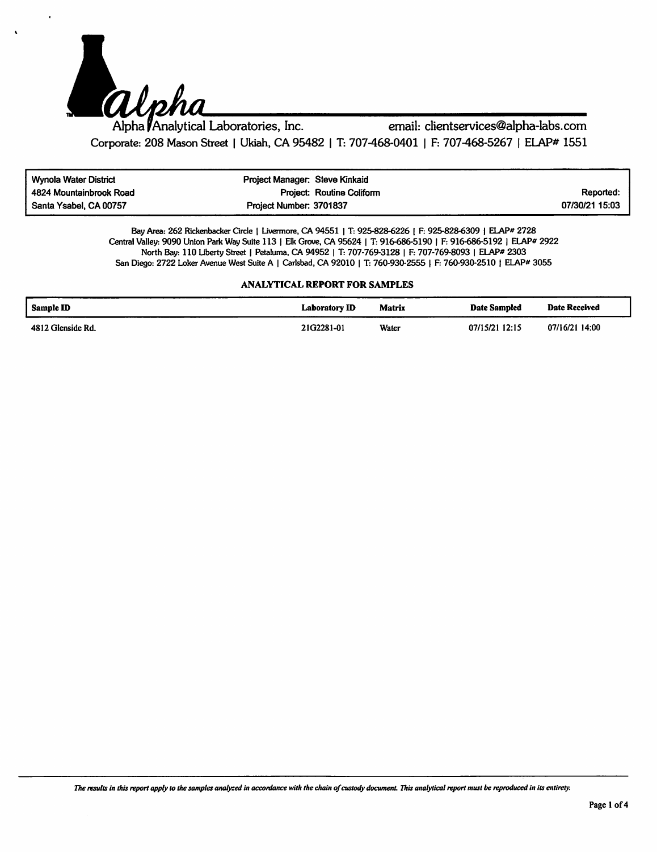

| Wynola Water District   | Project Manager: Steve Kinkaid |                |
|-------------------------|--------------------------------|----------------|
| 4824 Mountainbrook Road | Project: Routine Coliform      | Reported:      |
| Santa Ysabel, CA 00757  | Project Number: 3701837        | 07/30/21 15:03 |

Bay Area: 262 Rickenbacker Circle \ Uvermore, CA 94551 | T: 925-828-6226 | F: 925-828-6309 | ELAP\*' 2728 Bay Area: 262 Rickenbacker Circle | Livermore, CA 94551 | T: 925-828-6226 | F: 925-828-6309 | ELAP# 2728<br>Central Valley: 9090 Union Park Way Suite 113 | Elk Grove, CA 95624 | T: 916-686-5190 | F: 916-686-5192 | ELAP#<br>North y Area: 262 Rickenbacker Circle | Livermore, CA 94551 | T: 925-828-6226 | F: 925-828-6309 | ELAP# 27<br>'alley: 9090 Union Park Way Suite 113 | Elk Grove, CA 95624 | T: 916-686-5190 | F: 916-686-5192 | ELA<br>North Bay: 110 Libe North Bay: 110 Liberty Street | Petaluma, CA 94952 | T: 707-769-3128 | F: 707-769-8093 | ELAP# 2303<br>San Diego: 2722 Loker Avenue West Suite A | Carlsbad, CA 92010 | T: 760-930-2555 | F: 760-930-2510 | ELAP# 3055

#### ANALYTICAL REPORT FOR SAMPLES

| <b>Sample ID</b>  | <b>Laboratory ID</b> | Matrix | Date Sampled   | <b>Date Received</b> |
|-------------------|----------------------|--------|----------------|----------------------|
| 4812 Glenside Rd. | 21G2281-01           | Water  | 07/15/21 12:15 | 07/16/21 14:00       |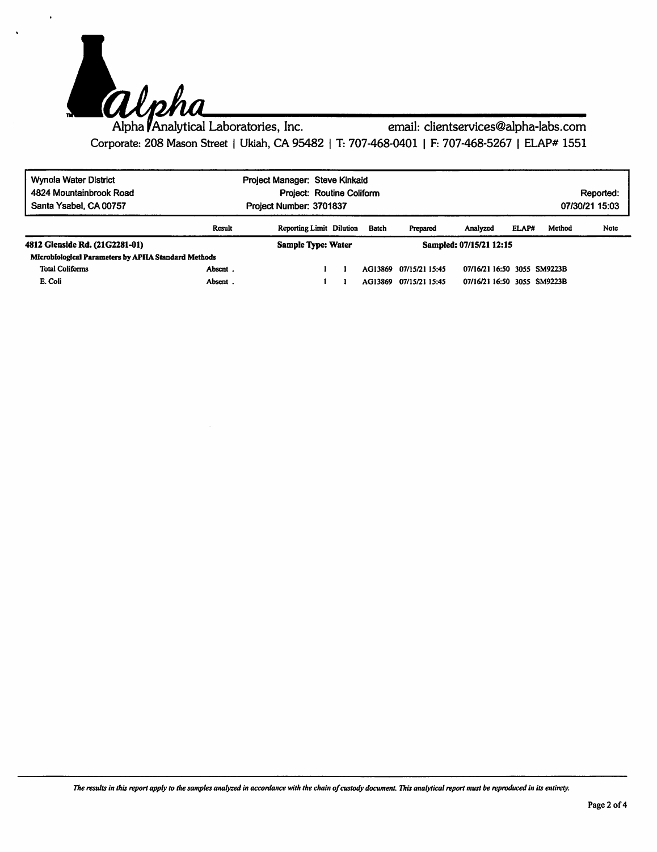

| <b>Wynola Water District</b><br>4824 Mountainbrook Road<br>Santa Ysabel, CA 00757 |         | Project Manager: Steve Kinkaid<br><b>Project: Routine Coliform</b><br>Project Number: 3701837 |              |                |                             |       |        | Reported:<br>07/30/21 15:03 |
|-----------------------------------------------------------------------------------|---------|-----------------------------------------------------------------------------------------------|--------------|----------------|-----------------------------|-------|--------|-----------------------------|
|                                                                                   | Result  | <b>Reporting Limit Dilution</b>                                                               | <b>Batch</b> | Prepared       | Analyzed                    | ELAP# | Method | Note                        |
| 4812 Glenside Rd. (21G2281-01)                                                    |         | <b>Sample Type: Water</b>                                                                     |              |                | Sampled: 07/15/21 12:15     |       |        |                             |
| Microbiological Parameters by APHA Standard Methods                               |         |                                                                                               |              |                |                             |       |        |                             |
| <b>Total Coliforms</b>                                                            | Absent. |                                                                                               | AG13869      | 07/15/21 15:45 | 07/16/21 16:50 3055 SM9223B |       |        |                             |
| E. Coli                                                                           | Absent. |                                                                                               | AG13869      | 07/15/21 15:45 | 07/16/21 16:50 3055 SM9223B |       |        |                             |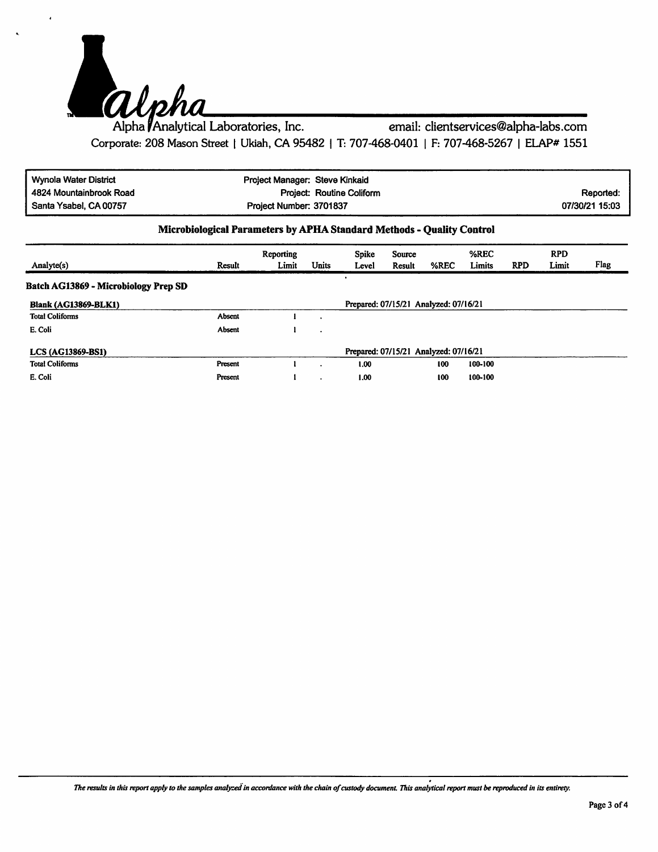

| <b>Wynola Water District</b><br>4824 Mountainbrook Road<br>Santa Ysabel, CA 00757 |                                                                              | Project Manager: Steve Kinkaid<br>Project Number: 3701837 |       | <b>Project: Routine Coliform</b> |                                       |      |                |            |                     | Reported:<br>07/30/21 15:03 |
|-----------------------------------------------------------------------------------|------------------------------------------------------------------------------|-----------------------------------------------------------|-------|----------------------------------|---------------------------------------|------|----------------|------------|---------------------|-----------------------------|
|                                                                                   | <b>Microbiological Parameters by APHA Standard Methods - Quality Control</b> |                                                           |       |                                  |                                       |      |                |            |                     |                             |
| Analyte(s)                                                                        | Result                                                                       | Reporting<br>Limit                                        | Units | Spike<br>Level                   | Source<br>Result                      | %REC | %REC<br>Limits | <b>RPD</b> | <b>RPD</b><br>Limit | Flag                        |
| Batch AG13869 - Microbiology Prep SD<br><b>Blank (AG13869-BLK1)</b>               |                                                                              |                                                           |       |                                  | Prepared: 07/15/21 Analyzed: 07/16/21 |      |                |            |                     |                             |
| <b>Total Coliforms</b>                                                            | Absent                                                                       |                                                           |       |                                  |                                       |      |                |            |                     |                             |
| E. Coli                                                                           | Absent                                                                       |                                                           |       |                                  |                                       |      |                |            |                     |                             |
| <b>LCS (AG13869-BS1)</b>                                                          |                                                                              |                                                           |       |                                  | Prepared: 07/15/21 Analyzed: 07/16/21 |      |                |            |                     |                             |
| <b>Total Coliforms</b>                                                            | Present                                                                      |                                                           |       | 1.00                             |                                       | 100  | 100-100        |            |                     |                             |
| E. Coli                                                                           | Present                                                                      |                                                           |       | 1.00                             |                                       | 100  | 100-100        |            |                     |                             |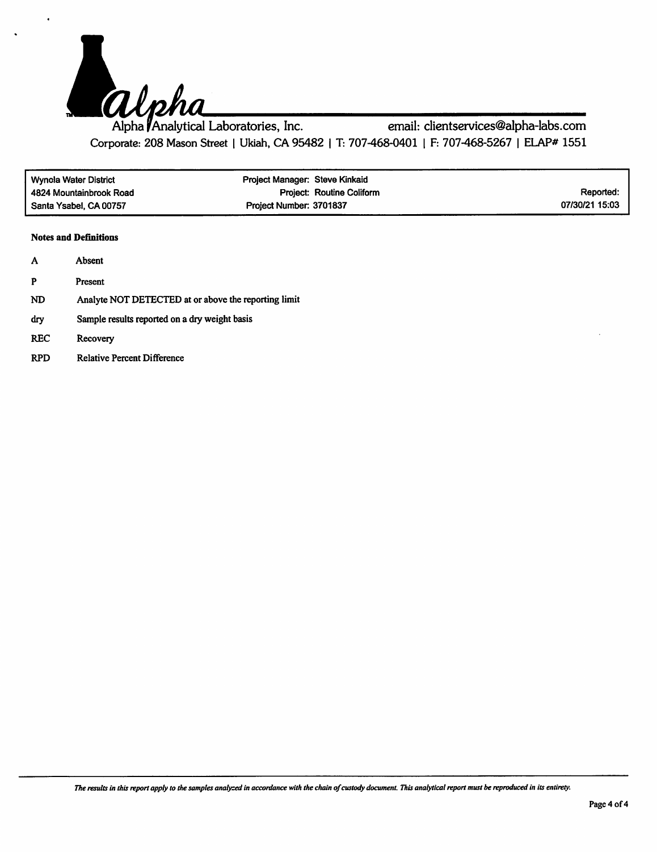

| Wynola Water District   | Project Manager: Steve Kinkaid   |                |
|-------------------------|----------------------------------|----------------|
| 4824 Mountainbrook Road | <b>Project: Routine Coliform</b> | Reported:      |
| Santa Ysabel, CA 00757  | Project Number: 3701837          | 07/30/21 15:03 |

## Notes and Definitions

| $\mathbf{A}$ | Absent                                               |
|--------------|------------------------------------------------------|
| P            | Present                                              |
| <b>ND</b>    | Analyte NOT DETECTED at or above the reporting limit |
| dry          | Sample results reported on a dry weight basis        |
| <b>REC</b>   | Recovery                                             |
| RPD          | <b>Relative Percent Difference</b>                   |

The results in this report apply to the samples analyzed in accordance with the chain of custody document. This analytical report must be reproduced in its entirety.